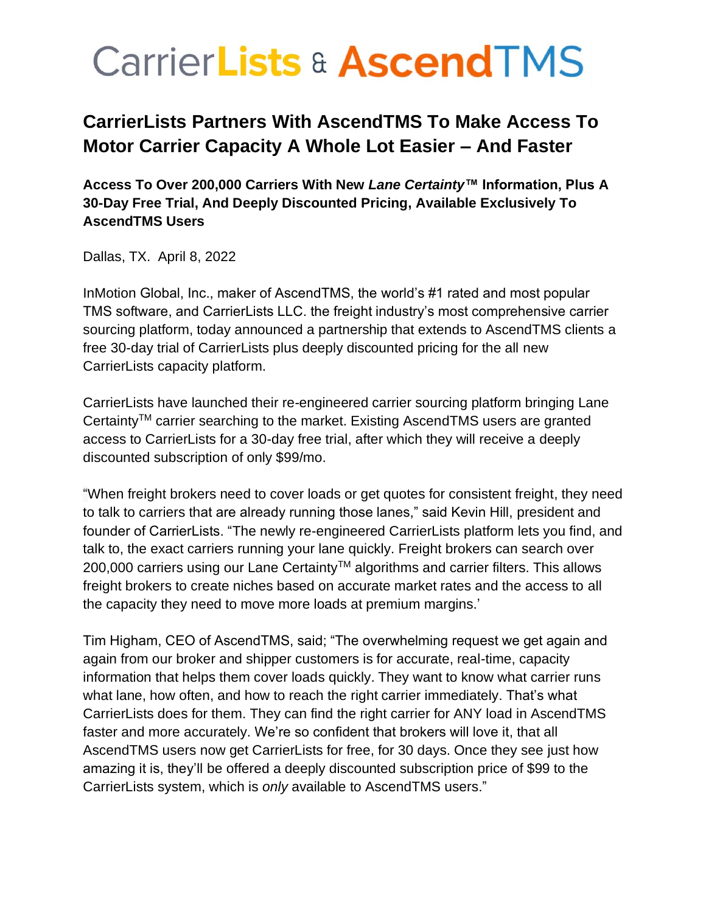# **CarrierLists & AscendTMS**

### **CarrierLists Partners With AscendTMS To Make Access To Motor Carrier Capacity A Whole Lot Easier – And Faster**

**Access To Over 200,000 Carriers With New** *Lane Certainty***™ Information, Plus A 30-Day Free Trial, And Deeply Discounted Pricing, Available Exclusively To AscendTMS Users**

Dallas, TX. April 8, 2022

InMotion Global, Inc., maker of AscendTMS, the world's #1 rated and most popular TMS software, and CarrierLists LLC. the freight industry's most comprehensive carrier sourcing platform, today announced a partnership that extends to AscendTMS clients a free 30-day trial of CarrierLists plus deeply discounted pricing for the all new CarrierLists capacity platform.

CarrierLists have launched their re-engineered carrier sourcing platform bringing Lane CertaintyTM carrier searching to the market. Existing AscendTMS users are granted access to CarrierLists for a 30-day free trial, after which they will receive a deeply discounted subscription of only \$99/mo.

"When freight brokers need to cover loads or get quotes for consistent freight, they need to talk to carriers that are already running those lanes," said Kevin Hill, president and founder of CarrierLists. "The newly re-engineered CarrierLists platform lets you find, and talk to, the exact carriers running your lane quickly. Freight brokers can search over 200,000 carriers using our Lane Certainty™ algorithms and carrier filters. This allows freight brokers to create niches based on accurate market rates and the access to all the capacity they need to move more loads at premium margins.'

Tim Higham, CEO of AscendTMS, said; "The overwhelming request we get again and again from our broker and shipper customers is for accurate, real-time, capacity information that helps them cover loads quickly. They want to know what carrier runs what lane, how often, and how to reach the right carrier immediately. That's what CarrierLists does for them. They can find the right carrier for ANY load in AscendTMS faster and more accurately. We're so confident that brokers will love it, that all AscendTMS users now get CarrierLists for free, for 30 days. Once they see just how amazing it is, they'll be offered a deeply discounted subscription price of \$99 to the CarrierLists system, which is *only* available to AscendTMS users."